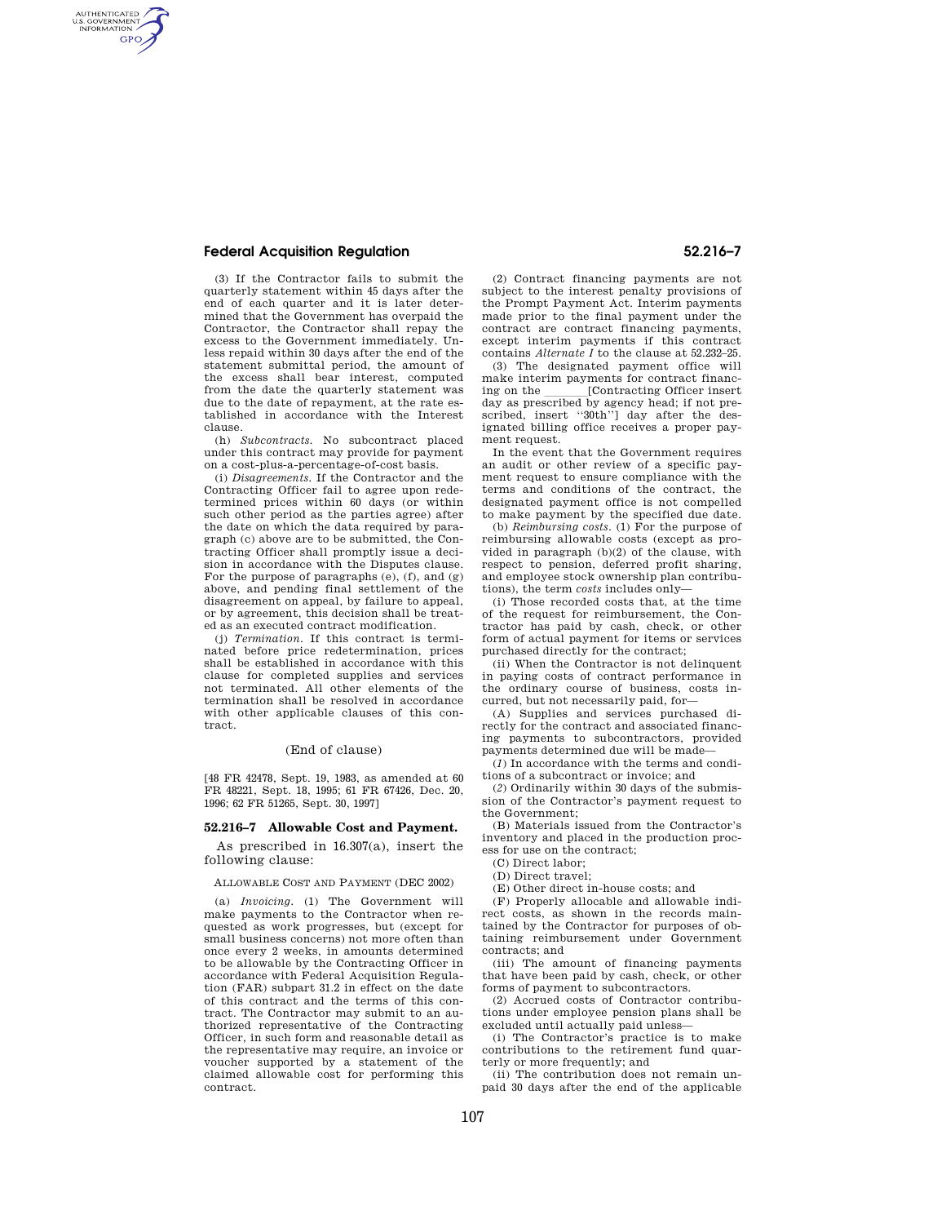# **Federal Acquisition Regulation 52.216–7**

AUTHENTICATED<br>U.S. GOVERNMENT<br>INFORMATION **GPO** 

> (3) If the Contractor fails to submit the quarterly statement within 45 days after the end of each quarter and it is later determined that the Government has overpaid the Contractor, the Contractor shall repay the excess to the Government immediately. Unless repaid within 30 days after the end of the statement submittal period, the amount of the excess shall bear interest, computed from the date the quarterly statement was due to the date of repayment, at the rate established in accordance with the Interest clause.

(h) *Subcontracts.* No subcontract placed under this contract may provide for payment on a cost-plus-a-percentage-of-cost basis.

(i) *Disagreements.* If the Contractor and the Contracting Officer fail to agree upon redetermined prices within 60 days (or within such other period as the parties agree) after the date on which the data required by paragraph (c) above are to be submitted, the Contracting Officer shall promptly issue a decision in accordance with the Disputes clause. For the purpose of paragraphs (e), (f), and (g) above, and pending final settlement of the disagreement on appeal, by failure to appeal, or by agreement, this decision shall be treated as an executed contract modification.

(j) *Termination.* If this contract is terminated before price redetermination, prices shall be established in accordance with this clause for completed supplies and services not terminated. All other elements of the termination shall be resolved in accordance with other applicable clauses of this contract.

# (End of clause)

[48 FR 42478, Sept. 19, 1983, as amended at 60 FR 48221, Sept. 18, 1995; 61 FR 67426, Dec. 20, 1996; 62 FR 51265, Sept. 30, 1997]

#### **52.216–7 Allowable Cost and Payment.**

As prescribed in 16.307(a), insert the following clause:

### ALLOWABLE COST AND PAYMENT (DEC 2002)

(a) *Invoicing.* (1) The Government will make payments to the Contractor when requested as work progresses, but (except for small business concerns) not more often than once every 2 weeks, in amounts determined to be allowable by the Contracting Officer in accordance with Federal Acquisition Regulation (FAR) subpart 31.2 in effect on the date of this contract and the terms of this contract. The Contractor may submit to an authorized representative of the Contracting Officer, in such form and reasonable detail as the representative may require, an invoice or voucher supported by a statement of the claimed allowable cost for performing this contract.

(2) Contract financing payments are not subject to the interest penalty provisions of the Prompt Payment Act. Interim payments made prior to the final payment under the contract are contract financing payments, except interim payments if this contract contains *Alternate I* to the clause at 52.232–25.

(3) The designated payment office will make interim payments for contract financing on the [Contracting Officer insert] ing on the llll[Contracting Officer insert day as prescribed by agency head; if not prescribed, insert ''30th''] day after the designated billing office receives a proper payment request.

In the event that the Government requires an audit or other review of a specific payment request to ensure compliance with the terms and conditions of the contract, the designated payment office is not compelled to make payment by the specified due date.

(b) *Reimbursing costs.* (1) For the purpose of reimbursing allowable costs (except as provided in paragraph (b)(2) of the clause, with respect to pension, deferred profit sharing, and employee stock ownership plan contributions), the term *costs* includes only—

(i) Those recorded costs that, at the time of the request for reimbursement, the Contractor has paid by cash, check, or other form of actual payment for items or services purchased directly for the contract;

(ii) When the Contractor is not delinquent in paying costs of contract performance in the ordinary course of business, costs incurred, but not necessarily paid, for—

(A) Supplies and services purchased directly for the contract and associated financing payments to subcontractors, provided payments determined due will be made—

(*1*) In accordance with the terms and conditions of a subcontract or invoice; and

(*2*) Ordinarily within 30 days of the submission of the Contractor's payment request to the Government;

(B) Materials issued from the Contractor's inventory and placed in the production process for use on the contract;

(C) Direct labor;

(D) Direct travel;

(E) Other direct in-house costs; and

(F) Properly allocable and allowable indirect costs, as shown in the records maintained by the Contractor for purposes of obtaining reimbursement under Government contracts; and

(iii) The amount of financing payments that have been paid by cash, check, or other forms of payment to subcontractors.

(2) Accrued costs of Contractor contributions under employee pension plans shall be excluded until actually paid unless—

(i) The Contractor's practice is to make contributions to the retirement fund quarterly or more frequently; and

(ii) The contribution does not remain unpaid 30 days after the end of the applicable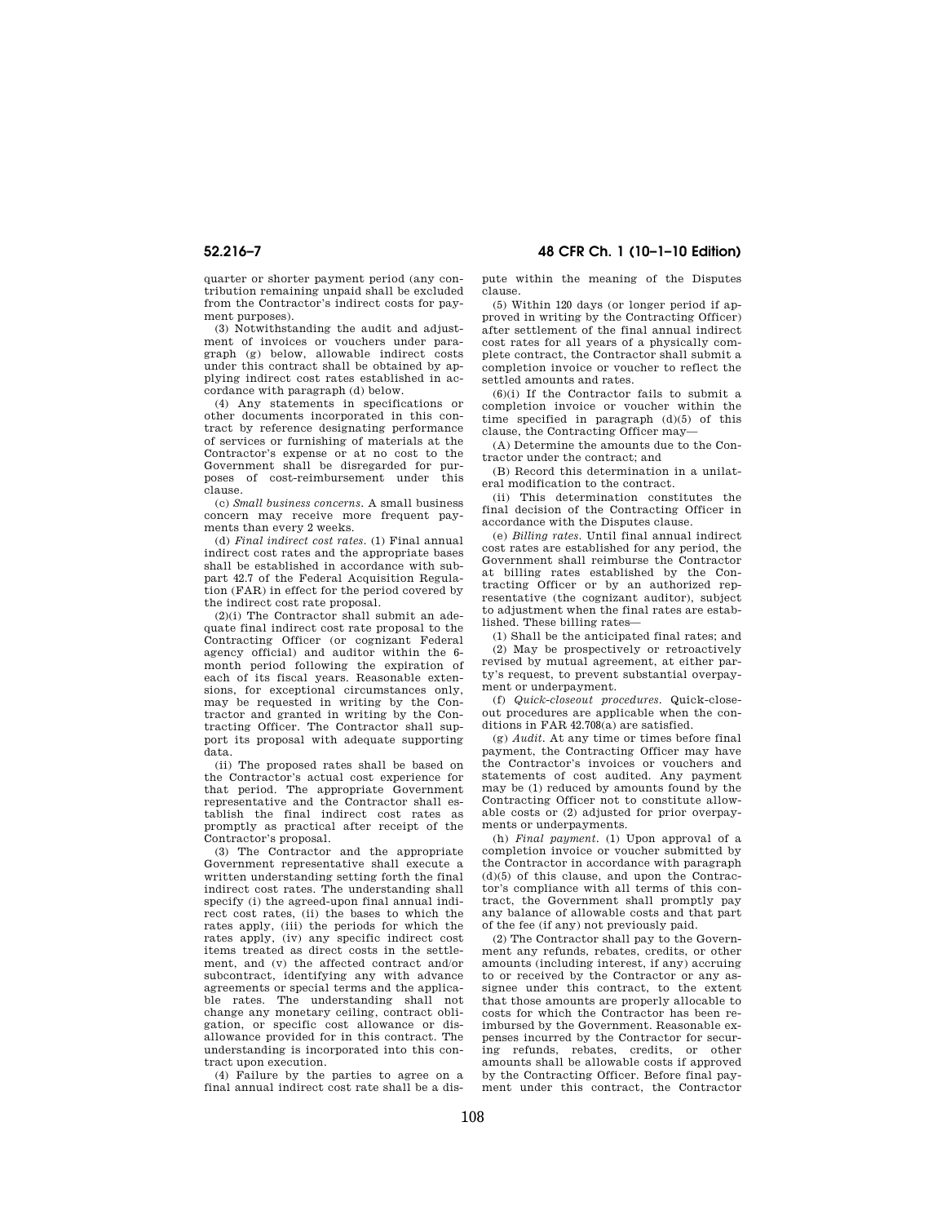**52.216–7 48 CFR Ch. 1 (10–1–10 Edition)** 

quarter or shorter payment period (any contribution remaining unpaid shall be excluded from the Contractor's indirect costs for payment purposes).

(3) Notwithstanding the audit and adjustment of invoices or vouchers under paragraph (g) below, allowable indirect costs under this contract shall be obtained by applying indirect cost rates established in accordance with paragraph (d) below.

(4) Any statements in specifications or other documents incorporated in this contract by reference designating performance of services or furnishing of materials at the Contractor's expense or at no cost to the Government shall be disregarded for purposes of cost-reimbursement under this clause.

(c) *Small business concerns.* A small business concern may receive more frequent payments than every 2 weeks.

(d) *Final indirect cost rates.* (1) Final annual indirect cost rates and the appropriate bases shall be established in accordance with subpart 42.7 of the Federal Acquisition Regulation (FAR) in effect for the period covered by the indirect cost rate proposal.

(2)(i) The Contractor shall submit an adequate final indirect cost rate proposal to the Contracting Officer (or cognizant Federal agency official) and auditor within the 6 month period following the expiration of each of its fiscal years. Reasonable extensions, for exceptional circumstances only, may be requested in writing by the Contractor and granted in writing by the Contracting Officer. The Contractor shall support its proposal with adequate supporting data.

(ii) The proposed rates shall be based on the Contractor's actual cost experience for that period. The appropriate Government representative and the Contractor shall establish the final indirect cost rates as promptly as practical after receipt of the Contractor's proposal.

(3) The Contractor and the appropriate Government representative shall execute a written understanding setting forth the final indirect cost rates. The understanding shall specify (i) the agreed-upon final annual indirect cost rates, (ii) the bases to which the rates apply, (iii) the periods for which the rates apply, (iv) any specific indirect cost items treated as direct costs in the settlement, and (v) the affected contract and/or subcontract, identifying any with advance agreements or special terms and the applicable rates. The understanding shall not change any monetary ceiling, contract obligation, or specific cost allowance or disallowance provided for in this contract. The understanding is incorporated into this contract upon execution.

(4) Failure by the parties to agree on a final annual indirect cost rate shall be a dis-

pute within the meaning of the Disputes clause.

(5) Within 120 days (or longer period if approved in writing by the Contracting Officer) after settlement of the final annual indirect cost rates for all years of a physically complete contract, the Contractor shall submit a completion invoice or voucher to reflect the settled amounts and rates.

 $(6)(i)$  If the Contractor fails to submit a completion invoice or voucher within the time specified in paragraph (d)(5) of this clause, the Contracting Officer may—

(A) Determine the amounts due to the Contractor under the contract; and

(B) Record this determination in a unilateral modification to the contract.

(ii) This determination constitutes the final decision of the Contracting Officer in accordance with the Disputes clause.

(e) *Billing rates.* Until final annual indirect cost rates are established for any period, the Government shall reimburse the Contractor at billing rates established by the Contracting Officer or by an authorized representative (the cognizant auditor), subject to adjustment when the final rates are established. These billing rates—

(1) Shall be the anticipated final rates; and (2) May be prospectively or retroactively revised by mutual agreement, at either party's request, to prevent substantial overpayment or underpayment.

(f) *Quick-closeout procedures.* Quick-closeout procedures are applicable when the conditions in FAR 42.708(a) are satisfied.

(g) *Audit.* At any time or times before final payment, the Contracting Officer may have the Contractor's invoices or vouchers and statements of cost audited. Any payment may be (1) reduced by amounts found by the Contracting Officer not to constitute allowable costs or (2) adjusted for prior overpayments or underpayments.

(h) *Final payment.* (1) Upon approval of a completion invoice or voucher submitted by the Contractor in accordance with paragraph (d)(5) of this clause, and upon the Contractor's compliance with all terms of this contract, the Government shall promptly pay any balance of allowable costs and that part of the fee (if any) not previously paid.

(2) The Contractor shall pay to the Government any refunds, rebates, credits, or other amounts (including interest, if any) accruing to or received by the Contractor or any assignee under this contract, to the extent that those amounts are properly allocable to costs for which the Contractor has been reimbursed by the Government. Reasonable expenses incurred by the Contractor for securing refunds, rebates, credits, or other amounts shall be allowable costs if approved by the Contracting Officer. Before final payment under this contract, the Contractor